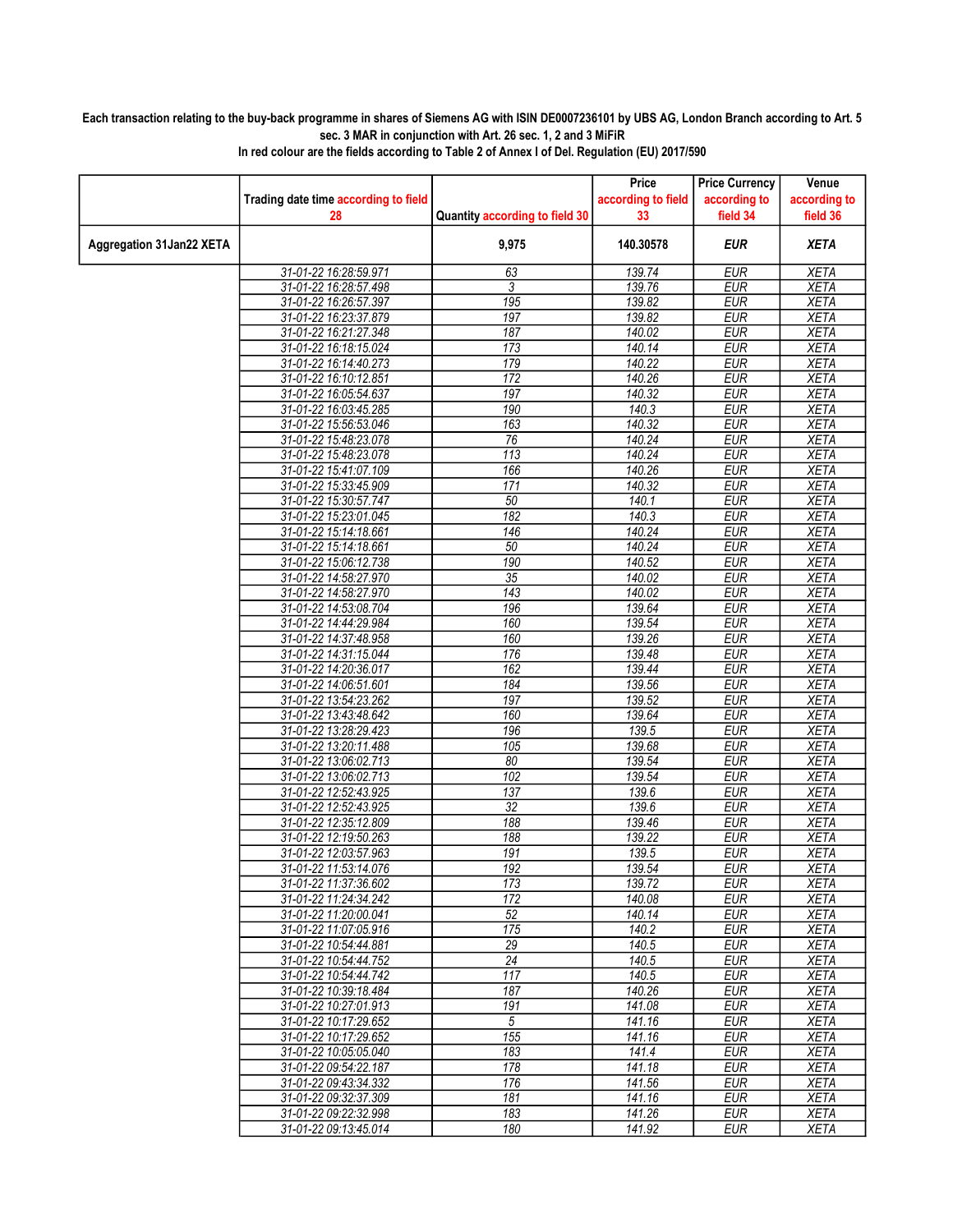## Each transaction relating to the buy-back programme in shares of Siemens AG with ISIN DE0007236101 by UBS AG, London Branch according to Art. 5 sec. 3 MAR in conjunction with Art. 26 sec. 1, 2 and 3 MiFiR

|                          |                                                |                                | Price                    | <b>Price Currency</b>    | Venue                      |
|--------------------------|------------------------------------------------|--------------------------------|--------------------------|--------------------------|----------------------------|
|                          | Trading date time according to field<br>28     | Quantity according to field 30 | according to field<br>33 | according to<br>field 34 | according to<br>field 36   |
|                          |                                                |                                |                          |                          |                            |
| Aggregation 31Jan22 XETA |                                                | 9,975                          | 140.30578                | <b>EUR</b>               | <b>XETA</b>                |
|                          | 31-01-22 16:28:59.971                          | 63                             | 139.74                   | <b>EUR</b>               | <b>XETA</b>                |
|                          | 31-01-22 16:28:57.498                          | 3                              | 139.76                   | <b>EUR</b>               | <b>XETA</b>                |
|                          | 31-01-22 16:26:57.397                          | 195                            | 139.82                   | <b>EUR</b>               | <b>XETA</b>                |
|                          | 31-01-22 16:23:37.879                          | 197                            | 139.82                   | <b>EUR</b>               | <b>XETA</b>                |
|                          | 31-01-22 16:21:27.348                          | 187                            | 140.02                   | <b>EUR</b>               | <b>XETA</b>                |
|                          | 31-01-22 16:18:15.024                          | 173                            | 140.14                   | <b>EUR</b>               | <b>XETA</b>                |
|                          | 31-01-22 16:14:40.273                          | 179                            | 140.22                   | <b>EUR</b>               | <b>XETA</b>                |
|                          | 31-01-22 16:10:12.851                          | 172                            | 140.26                   | <b>EUR</b>               | <b>XETA</b>                |
|                          | 31-01-22 16:05:54.637                          | 197                            | 140.32                   | <b>EUR</b>               | <b>XETA</b>                |
|                          | 31-01-22 16:03:45.285                          | 190                            | 140.3                    | <b>EUR</b>               | <b>XETA</b>                |
|                          | 31-01-22 15:56:53.046                          | 163                            | 140.32                   | <b>EUR</b>               | <b>XETA</b>                |
|                          | 31-01-22 15:48:23.078                          | 76                             | 140.24                   | <b>EUR</b>               | <b>XETA</b>                |
|                          | 31-01-22 15:48:23.078                          | 113                            | 140.24                   | <b>EUR</b>               | <b>XETA</b>                |
|                          | 31-01-22 15:41:07.109                          | 166                            | 140.26                   | <b>EUR</b>               | <b>XETA</b>                |
|                          | 31-01-22 15:33:45.909<br>31-01-22 15:30:57.747 | 171<br>50                      | 140.32<br>140.1          | <b>EUR</b><br><b>EUR</b> | <b>XETA</b><br><b>XETA</b> |
|                          | 31-01-22 15:23:01.045                          | 182                            | 140.3                    | <b>EUR</b>               | <b>XETA</b>                |
|                          | 31-01-22 15:14:18.661                          | 146                            | 140.24                   | <b>EUR</b>               | <b>XETA</b>                |
|                          | 31-01-22 15:14:18.661                          | 50                             | 140.24                   | <b>EUR</b>               | <b>XETA</b>                |
|                          | 31-01-22 15:06:12.738                          | 190                            | 140.52                   | <b>EUR</b>               | <b>XETA</b>                |
|                          | 31-01-22 14:58:27.970                          | 35                             | 140.02                   | <b>EUR</b>               | <b>XETA</b>                |
|                          | 31-01-22 14:58:27.970                          | 143                            | 140.02                   | <b>EUR</b>               | <b>XETA</b>                |
|                          | 31-01-22 14:53:08.704                          | 196                            | 139.64                   | <b>EUR</b>               | <b>XETA</b>                |
|                          | 31-01-22 14:44:29.984                          | 160                            | 139.54                   | <b>EUR</b>               | <b>XETA</b>                |
|                          | 31-01-22 14:37:48.958                          | 160                            | 139.26                   | <b>EUR</b>               | <b>XETA</b>                |
|                          | 31-01-22 14:31:15.044                          | 176                            | 139.48                   | <b>EUR</b>               | <b>XETA</b>                |
|                          | 31-01-22 14:20:36.017                          | 162                            | 139.44                   | <b>EUR</b>               | <b>XETA</b>                |
|                          | 31-01-22 14:06:51.601                          | 184                            | 139.56                   | <b>EUR</b>               | <b>XETA</b>                |
|                          | 31-01-22 13:54:23.262                          | 197                            | 139.52                   | <b>EUR</b>               | <b>XETA</b>                |
|                          | 31-01-22 13:43:48.642                          | 160                            | 139.64                   | <b>EUR</b>               | <b>XETA</b>                |
|                          | 31-01-22 13:28:29.423                          | 196                            | 139.5                    | <b>EUR</b>               | <b>XETA</b>                |
|                          | 31-01-22 13:20:11.488                          | 105                            | 139.68                   | <b>EUR</b>               | <b>XETA</b>                |
|                          | 31-01-22 13:06:02.713                          | 80                             | 139.54                   | <b>EUR</b>               | <b>XETA</b>                |
|                          | 31-01-22 13:06:02.713                          | 102                            | 139.54                   | <b>EUR</b>               | <b>XETA</b>                |
|                          | 31-01-22 12:52:43.925                          | 137                            | 139.6                    | <b>EUR</b>               | <b>XETA</b>                |
|                          | 31-01-22 12:52:43.925                          | 32                             | 139.6                    | <b>EUR</b>               | <b>XETA</b>                |
|                          | 31-01-22 12:35:12.809                          | 188                            | 139.46                   | <b>EUR</b>               | <b>XETA</b>                |
|                          | 31-01-22 12:19:50.263                          | 188                            | 139.22                   | <b>EUR</b>               | <b>XETA</b>                |
|                          | 31-01-22 12:03:57.963                          | 191<br>192                     | 139.5<br>139.54          | <b>EUR</b><br><b>EUR</b> | <b>XETA</b><br><b>XETA</b> |
|                          | 31-01-22 11:53:14.076<br>31-01-22 11:37:36.602 | 173                            | 139.72                   | <b>EUR</b>               | <b>XETA</b>                |
|                          | 31-01-22 11:24:34.242                          | 172                            | 140.08                   | <b>EUR</b>               | <b>XETA</b>                |
|                          | 31-01-22 11:20:00.041                          | 52                             | 140.14                   | <b>EUR</b>               | <b>XETA</b>                |
|                          | 31-01-22 11:07:05.916                          | 175                            | 140.2                    | <b>EUR</b>               | <b>XETA</b>                |
|                          | 31-01-22 10:54:44.881                          | 29                             | 140.5                    | <b>EUR</b>               | <b>XETA</b>                |
|                          | 31-01-22 10:54:44.752                          | 24                             | 140.5                    | <b>EUR</b>               | <b>XETA</b>                |
|                          | 31-01-22 10:54:44.742                          | 117                            | 140.5                    | <b>EUR</b>               | <b>XETA</b>                |
|                          | 31-01-22 10:39:18.484                          | 187                            | 140.26                   | <b>EUR</b>               | <b>XETA</b>                |
|                          | 31-01-22 10:27:01.913                          | 191                            | 141.08                   | <b>EUR</b>               | <b>XETA</b>                |
|                          | 31-01-22 10:17:29.652                          | 5                              | 141.16                   | <b>EUR</b>               | <b>XETA</b>                |
|                          | 31-01-22 10:17:29.652                          | 155                            | 141.16                   | <b>EUR</b>               | <b>XETA</b>                |
|                          | 31-01-22 10:05:05.040                          | 183                            | 141.4                    | <b>EUR</b>               | <b>XETA</b>                |
|                          | 31-01-22 09:54:22.187                          | 178                            | 141.18                   | <b>EUR</b>               | <b>XETA</b>                |
|                          | 31-01-22 09:43:34.332                          | 176                            | 141.56                   | <b>EUR</b>               | <b>XETA</b>                |
|                          | 31-01-22 09:32:37.309                          | 181                            | 141.16                   | <b>EUR</b>               | <b>XETA</b>                |
|                          | 31-01-22 09:22:32.998                          | 183                            | 141.26                   | <b>EUR</b>               | <b>XETA</b>                |
|                          | 31-01-22 09:13:45.014                          | 180                            | 141.92                   | <b>EUR</b>               | <b>XETA</b>                |

In red colour are the fields according to Table 2 of Annex I of Del. Regulation (EU) 2017/590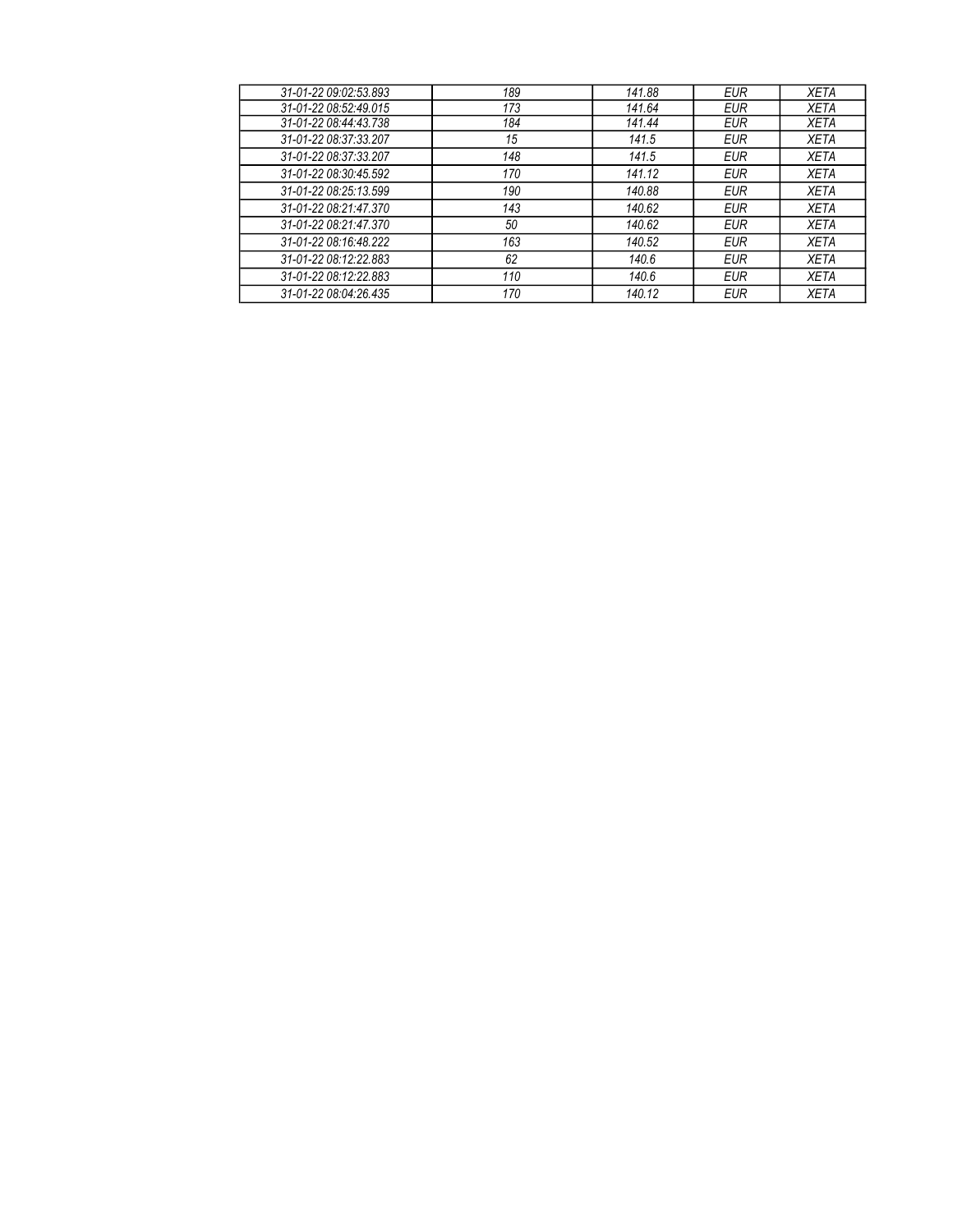| 189<br>31-01-22 09:02:53.893<br>141.88<br><b>EUR</b><br><b>XETA</b><br>173<br>31-01-22 08:52:49.015<br>141.64<br><b>EUR</b><br><b>XETA</b><br>31-01-22 08:44:43.738<br>184<br>141.44<br><b>XETA</b><br><b>EUR</b><br>31-01-22 08:37:33 207<br>15<br>141.5<br><b>XETA</b><br><b>EUR</b><br>31-01-22 08:37:33.207<br>148<br>141.5<br><b>EUR</b><br><b>XETA</b><br>31-01-22 08:30:45.592<br>170<br>141.12<br><b>XETA</b><br><b>EUR</b><br>31-01-22 08:25:13.599<br>190<br>140.88<br><b>XETA</b><br><b>EUR</b><br>31-01-22 08:21:47.370<br>143<br>140.62<br><b>XETA</b><br><b>EUR</b><br>31-01-22 08:21:47.370<br>50<br>140.62<br><b>XETA</b><br><b>EUR</b><br>31-01-22 08:16:48.222<br>163<br>140.52<br><b>EUR</b><br><b>XETA</b><br>31-01-22 08:12:22.883<br>62<br>140.6<br><b>XETA</b><br><b>EUR</b><br>31-01-22 08:12:22.883<br>110<br>140.6<br><b>XETA</b><br><b>EUR</b><br>31-01-22 08:04:26.435<br>170<br>140.12<br><b>XETA</b><br><b>EUR</b> |  |  |  |
|--------------------------------------------------------------------------------------------------------------------------------------------------------------------------------------------------------------------------------------------------------------------------------------------------------------------------------------------------------------------------------------------------------------------------------------------------------------------------------------------------------------------------------------------------------------------------------------------------------------------------------------------------------------------------------------------------------------------------------------------------------------------------------------------------------------------------------------------------------------------------------------------------------------------------------------------------|--|--|--|
|                                                                                                                                                                                                                                                                                                                                                                                                                                                                                                                                                                                                                                                                                                                                                                                                                                                                                                                                                  |  |  |  |
|                                                                                                                                                                                                                                                                                                                                                                                                                                                                                                                                                                                                                                                                                                                                                                                                                                                                                                                                                  |  |  |  |
|                                                                                                                                                                                                                                                                                                                                                                                                                                                                                                                                                                                                                                                                                                                                                                                                                                                                                                                                                  |  |  |  |
|                                                                                                                                                                                                                                                                                                                                                                                                                                                                                                                                                                                                                                                                                                                                                                                                                                                                                                                                                  |  |  |  |
|                                                                                                                                                                                                                                                                                                                                                                                                                                                                                                                                                                                                                                                                                                                                                                                                                                                                                                                                                  |  |  |  |
|                                                                                                                                                                                                                                                                                                                                                                                                                                                                                                                                                                                                                                                                                                                                                                                                                                                                                                                                                  |  |  |  |
|                                                                                                                                                                                                                                                                                                                                                                                                                                                                                                                                                                                                                                                                                                                                                                                                                                                                                                                                                  |  |  |  |
|                                                                                                                                                                                                                                                                                                                                                                                                                                                                                                                                                                                                                                                                                                                                                                                                                                                                                                                                                  |  |  |  |
|                                                                                                                                                                                                                                                                                                                                                                                                                                                                                                                                                                                                                                                                                                                                                                                                                                                                                                                                                  |  |  |  |
|                                                                                                                                                                                                                                                                                                                                                                                                                                                                                                                                                                                                                                                                                                                                                                                                                                                                                                                                                  |  |  |  |
|                                                                                                                                                                                                                                                                                                                                                                                                                                                                                                                                                                                                                                                                                                                                                                                                                                                                                                                                                  |  |  |  |
|                                                                                                                                                                                                                                                                                                                                                                                                                                                                                                                                                                                                                                                                                                                                                                                                                                                                                                                                                  |  |  |  |
|                                                                                                                                                                                                                                                                                                                                                                                                                                                                                                                                                                                                                                                                                                                                                                                                                                                                                                                                                  |  |  |  |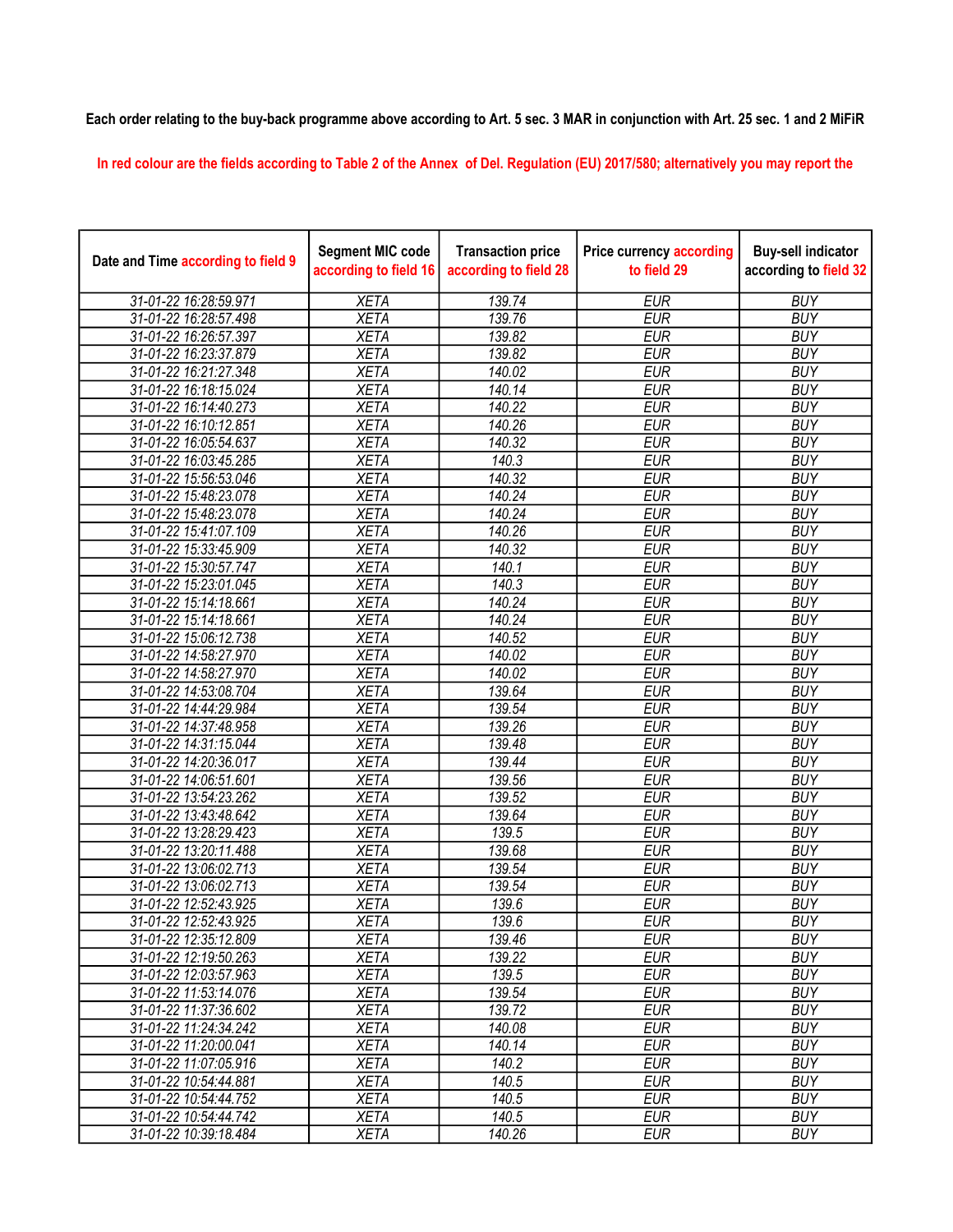## Each order relating to the buy-back programme above according to Art. 5 sec. 3 MAR in conjunction with Art. 25 sec. 1 and 2 MiFiR

In red colour are the fields according to Table 2 of the Annex of Del. Regulation (EU) 2017/580; alternatively you may report the

| Date and Time according to field 9 | <b>Segment MIC code</b><br>according to field 16 | <b>Transaction price</b><br>according to field 28 | <b>Price currency according</b><br>to field 29 | <b>Buy-sell indicator</b><br>according to field 32 |
|------------------------------------|--------------------------------------------------|---------------------------------------------------|------------------------------------------------|----------------------------------------------------|
| 31-01-22 16:28:59.971              | <b>XETA</b>                                      | 139.74                                            | <b>EUR</b>                                     | <b>BUY</b>                                         |
| 31-01-22 16:28:57.498              | <b>XETA</b>                                      | 139.76                                            | <b>EUR</b>                                     | <b>BUY</b>                                         |
| 31-01-22 16:26:57.397              | <b>XETA</b>                                      | 139.82                                            | <b>EUR</b>                                     | <b>BUY</b>                                         |
| 31-01-22 16:23:37.879              | <b>XETA</b>                                      | 139.82                                            | <b>EUR</b>                                     | <b>BUY</b>                                         |
| 31-01-22 16:21:27.348              | <b>XETA</b>                                      | 140.02                                            | <b>EUR</b>                                     | <b>BUY</b>                                         |
| 31-01-22 16:18:15.024              | <b>XETA</b>                                      | 140.14                                            | <b>EUR</b>                                     | <b>BUY</b>                                         |
| 31-01-22 16:14:40.273              | <b>XETA</b>                                      | 140.22                                            | <b>EUR</b>                                     | <b>BUY</b>                                         |
| 31-01-22 16:10:12.851              | <b>XETA</b>                                      | 140.26                                            | <b>EUR</b>                                     | <b>BUY</b>                                         |
| 31-01-22 16:05:54.637              | <b>XETA</b>                                      | 140.32                                            | <b>EUR</b>                                     | <b>BUY</b>                                         |
| 31-01-22 16:03:45.285              | <b>XETA</b>                                      | 140.3                                             | <b>EUR</b>                                     | <b>BUY</b>                                         |
| 31-01-22 15:56:53.046              | <b>XETA</b>                                      | 140.32                                            | <b>EUR</b>                                     | <b>BUY</b>                                         |
| 31-01-22 15:48:23.078              | <b>XETA</b>                                      | 140.24                                            | <b>EUR</b>                                     | <b>BUY</b>                                         |
| 31-01-22 15:48:23.078              | <b>XETA</b>                                      | 140.24                                            | <b>EUR</b>                                     | <b>BUY</b>                                         |
| 31-01-22 15:41:07.109              | <b>XETA</b>                                      | 140.26                                            | <b>EUR</b>                                     | <b>BUY</b>                                         |
| 31-01-22 15:33:45.909              | <b>XETA</b>                                      | 140.32                                            | <b>EUR</b>                                     | <b>BUY</b>                                         |
| 31-01-22 15:30:57.747              | <b>XETA</b>                                      | 140.1                                             | <b>EUR</b>                                     | <b>BUY</b>                                         |
| 31-01-22 15:23:01.045              | <b>XETA</b>                                      | 140.3                                             | <b>EUR</b>                                     | <b>BUY</b>                                         |
| 31-01-22 15:14:18.661              | <b>XETA</b>                                      | 140.24                                            | <b>EUR</b>                                     | <b>BUY</b>                                         |
| 31-01-22 15:14:18.661              | <b>XETA</b>                                      | 140.24                                            | <b>EUR</b>                                     | <b>BUY</b>                                         |
| 31-01-22 15:06:12.738              | <b>XETA</b>                                      | 140.52                                            | <b>EUR</b>                                     | <b>BUY</b>                                         |
| 31-01-22 14:58:27.970              | <b>XETA</b>                                      | 140.02                                            | <b>EUR</b>                                     | <b>BUY</b>                                         |
| 31-01-22 14:58:27.970              | <b>XETA</b>                                      | 140.02                                            | <b>EUR</b>                                     | <b>BUY</b>                                         |
| 31-01-22 14:53:08.704              | <b>XETA</b>                                      | 139.64                                            | <b>EUR</b>                                     | <b>BUY</b>                                         |
| 31-01-22 14:44:29.984              | <b>XETA</b>                                      | 139.54                                            | <b>EUR</b>                                     | <b>BUY</b>                                         |
| 31-01-22 14:37:48.958              | <b>XETA</b>                                      | 139.26                                            | <b>EUR</b>                                     | <b>BUY</b>                                         |
| 31-01-22 14:31:15.044              | <b>XETA</b>                                      | 139.48                                            | <b>EUR</b>                                     | <b>BUY</b>                                         |
| 31-01-22 14:20:36.017              | <b>XETA</b>                                      | 139.44                                            | <b>EUR</b>                                     | <b>BUY</b>                                         |
| 31-01-22 14:06:51.601              | <b>XETA</b>                                      | 139.56                                            | <b>EUR</b>                                     | <b>BUY</b>                                         |
| 31-01-22 13:54:23.262              | <b>XETA</b>                                      | 139.52                                            | <b>EUR</b>                                     | <b>BUY</b>                                         |
| 31-01-22 13:43:48.642              | <b>XETA</b>                                      | 139.64                                            | <b>EUR</b>                                     | <b>BUY</b>                                         |
| 31-01-22 13:28:29.423              | <b>XETA</b>                                      | 139.5                                             | <b>EUR</b>                                     | <b>BUY</b>                                         |
| 31-01-22 13:20:11.488              | <b>XETA</b>                                      | 139.68                                            | <b>EUR</b>                                     | <b>BUY</b>                                         |
| 31-01-22 13:06:02.713              | <b>XETA</b>                                      | 139.54                                            | <b>EUR</b>                                     | <b>BUY</b>                                         |
| 31-01-22 13:06:02.713              | <b>XETA</b>                                      | 139.54                                            | <b>EUR</b>                                     | <b>BUY</b>                                         |
| 31-01-22 12:52:43.925              | <b>XETA</b>                                      | 139.6                                             | <b>EUR</b>                                     | <b>BUY</b>                                         |
| 31-01-22 12:52:43.925              | XETA                                             | 139.6                                             | <b>EUR</b>                                     | <b>BUY</b>                                         |
| 31-01-22 12:35:12.809              | <b>XETA</b>                                      | 139.46                                            | <b>EUR</b>                                     | <b>BUY</b>                                         |
| 31-01-22 12:19:50.263              | <b>XETA</b>                                      | 139.22                                            | <b>EUR</b>                                     | <b>BUY</b>                                         |
| 31-01-22 12:03:57.963              | <b>XETA</b>                                      | 139.5                                             | <b>EUR</b>                                     | <b>BUY</b>                                         |
| 31-01-22 11:53:14.076              | <b>XETA</b>                                      | 139.54                                            | <b>EUR</b>                                     | <b>BUY</b>                                         |
| 31-01-22 11:37:36.602              | <b>XETA</b>                                      | 139.72                                            | <b>EUR</b>                                     | <b>BUY</b>                                         |
| 31-01-22 11:24:34.242              | <b>XETA</b>                                      | 140.08                                            | <b>EUR</b>                                     | <b>BUY</b>                                         |
| 31-01-22 11:20:00.041              | <b>XETA</b>                                      | 140.14                                            | <b>EUR</b>                                     | <b>BUY</b>                                         |
| 31-01-22 11:07:05.916              | <b>XETA</b>                                      | 140.2                                             | <b>EUR</b>                                     | <b>BUY</b>                                         |
| 31-01-22 10:54:44.881              | <b>XETA</b>                                      | 140.5                                             | <b>EUR</b>                                     | <b>BUY</b>                                         |
| 31-01-22 10:54:44.752              | <b>XETA</b>                                      | 140.5                                             | <b>EUR</b>                                     | <b>BUY</b>                                         |
| 31-01-22 10:54:44.742              | <b>XETA</b>                                      | 140.5                                             | <b>EUR</b>                                     | <b>BUY</b>                                         |
| 31-01-22 10:39:18.484              | <b>XETA</b>                                      | 140.26                                            | <b>EUR</b>                                     | <b>BUY</b>                                         |